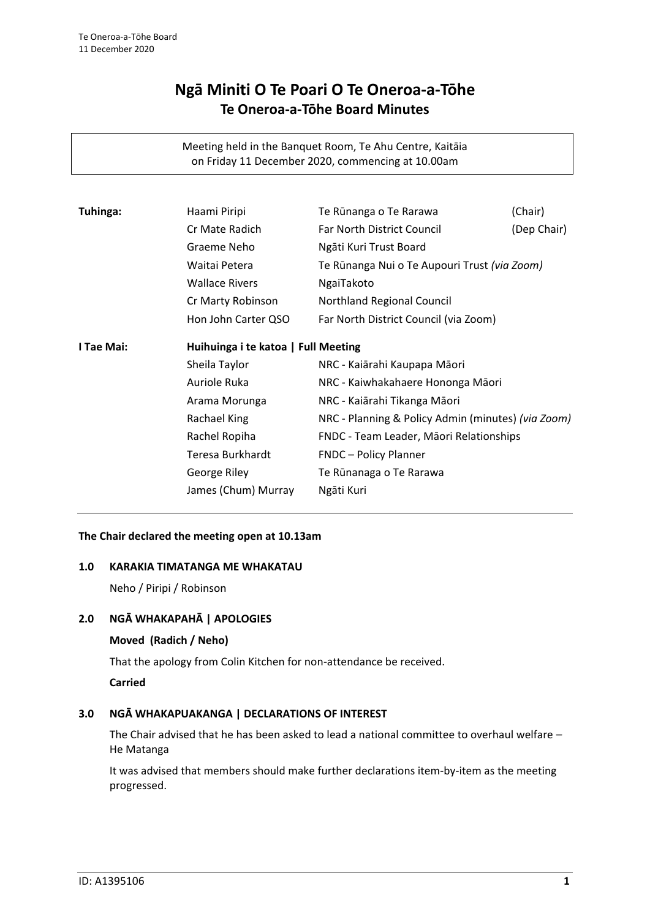# **Ngā Miniti O Te Poari O Te Oneroa-a-Tōhe Te Oneroa-a-Tōhe Board Minutes**

Meeting held in the Banquet Room, Te Ahu Centre, Kaitāia on Friday 11 December 2020, commencing at 10.00am

| Tuhinga:   | Haami Piripi                        | Te Rūnanga o Te Rarawa                             | (Chair)     |  |
|------------|-------------------------------------|----------------------------------------------------|-------------|--|
|            | Cr Mate Radich                      | <b>Far North District Council</b>                  | (Dep Chair) |  |
|            | Graeme Neho                         | Ngāti Kuri Trust Board                             |             |  |
|            | Waitai Petera                       | Te Rūnanga Nui o Te Aupouri Trust (via Zoom)       |             |  |
|            | <b>Wallace Rivers</b>               | NgaiTakoto                                         |             |  |
|            | Cr Marty Robinson                   | Northland Regional Council                         |             |  |
|            | Hon John Carter QSO                 | Far North District Council (via Zoom)              |             |  |
| I Tae Mai: | Huihuinga i te katoa   Full Meeting |                                                    |             |  |
|            | Sheila Taylor                       | NRC - Kaiārahi Kaupapa Māori                       |             |  |
|            | Auriole Ruka                        | NRC - Kaiwhakahaere Hononga Māori                  |             |  |
|            | Arama Morunga                       | NRC - Kaiārahi Tikanga Māori                       |             |  |
|            | Rachael King                        | NRC - Planning & Policy Admin (minutes) (via Zoom) |             |  |
|            | Rachel Ropiha                       | FNDC - Team Leader, Māori Relationships            |             |  |
|            | Teresa Burkhardt                    | <b>FNDC</b> - Policy Planner                       |             |  |
|            | George Riley                        | Te Rūnanaga o Te Rarawa                            |             |  |
|            | James (Chum) Murray                 | Ngāti Kuri                                         |             |  |

#### **The Chair declared the meeting open at 10.13am**

#### **1.0 KARAKIA TIMATANGA ME WHAKATAU**

Neho / Piripi / Robinson

#### **2.0 NGĀ WHAKAPAHĀ | APOLOGIES**

#### **Moved (Radich / Neho)**

That the apology from Colin Kitchen for non-attendance be received.

**Carried**

## **3.0 NGĀ WHAKAPUAKANGA | DECLARATIONS OF INTEREST**

The Chair advised that he has been asked to lead a national committee to overhaul welfare – He Matanga

It was advised that members should make further declarations item-by-item as the meeting progressed.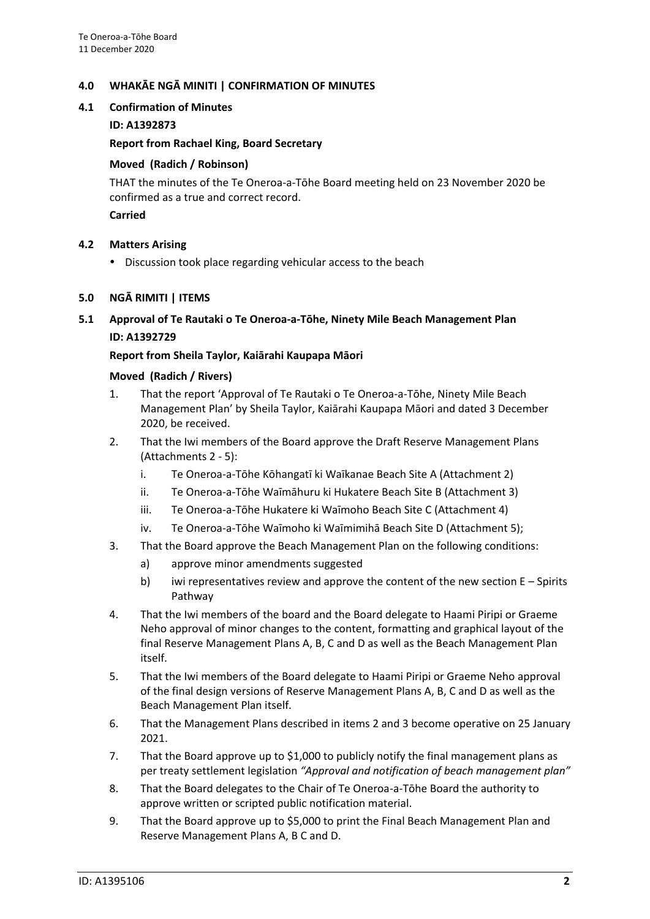# **4.0 WHAKĀE NGĀ MINITI | CONFIRMATION OF MINUTES**

## **4.1 Confirmation of Minutes**

## **ID: A1392873**

## **Report from Rachael King, Board Secretary**

## **Moved (Radich / Robinson)**

THAT the minutes of the Te Oneroa-a-Tōhe Board meeting held on 23 November 2020 be confirmed as a true and correct record.

## **Carried**

# **4.2 Matters Arising**

Discussion took place regarding vehicular access to the beach

# **5.0 NGĀ RIMITI | ITEMS**

**5.1 Approval of Te Rautaki o Te Oneroa-a-Tōhe, Ninety Mile Beach Management Plan ID: A1392729**

# **Report from Sheila Taylor, Kaiārahi Kaupapa Māori**

# **Moved (Radich / Rivers)**

- 1. That the report 'Approval of Te Rautaki o Te Oneroa-a-Tōhe, Ninety Mile Beach Management Plan' by Sheila Taylor, Kaiārahi Kaupapa Māori and dated 3 December 2020, be received.
- 2. That the Iwi members of the Board approve the Draft Reserve Management Plans (Attachments 2 - 5):
	- i. Te Oneroa-a-Tōhe Kōhangatī ki Waīkanae Beach Site A (Attachment 2)
	- ii. Te Oneroa-a-Tōhe Waīmāhuru ki Hukatere Beach Site B (Attachment 3)
	- iii. Te Oneroa-a-Tōhe Hukatere ki Waīmoho Beach Site C (Attachment 4)
	- iv. Te Oneroa-a-Tōhe Waīmoho ki Waīmimihā Beach Site D (Attachment 5);
- 3. That the Board approve the Beach Management Plan on the following conditions:
	- a) approve minor amendments suggested
	- b) iwi representatives review and approve the content of the new section  $E -$  Spirits Pathway
- 4. That the Iwi members of the board and the Board delegate to Haami Piripi or Graeme Neho approval of minor changes to the content, formatting and graphical layout of the final Reserve Management Plans A, B, C and D as well as the Beach Management Plan itself.
- 5. That the Iwi members of the Board delegate to Haami Piripi or Graeme Neho approval of the final design versions of Reserve Management Plans A, B, C and D as well as the Beach Management Plan itself.
- 6. That the Management Plans described in items 2 and 3 become operative on 25 January 2021.
- 7. That the Board approve up to \$1,000 to publicly notify the final management plans as per treaty settlement legislation *"Approval and notification of beach management plan"*
- 8. That the Board delegates to the Chair of Te Oneroa-a-Tōhe Board the authority to approve written or scripted public notification material.
- 9. That the Board approve up to \$5,000 to print the Final Beach Management Plan and Reserve Management Plans A, B C and D.